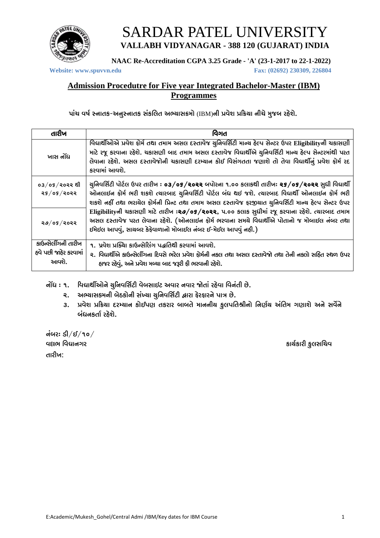

# **SARDAR PATEL UNIVERSITY** VALLABH VIDYANAGAR - 388 120 (GUJARAT) INDIA

NAAC Re-Accreditation CGPA 3.25 Grade - 'A' (23-1-2017 to 22-1-2022)

Website: www.spuvvn.edu

Fax: (02692) 230309, 226804

#### **Admission Procedutre for Five year Integrated Bachelor-Master (IBM) Programmes**

પાંચ વર્ષ સ્નાતક-અનુસ્નાતક સંકલિત અભ્યાસક્રમો (IBM)ની પ્રવેશ પ્રક્રિયા નીચે મુજબ રહેશે.

| તારીખ                                                 | વિગત                                                                                                                                                                                                                                                                                                                                                                                                                                                                                                                                                                                           |
|-------------------------------------------------------|------------------------------------------------------------------------------------------------------------------------------------------------------------------------------------------------------------------------------------------------------------------------------------------------------------------------------------------------------------------------------------------------------------------------------------------------------------------------------------------------------------------------------------------------------------------------------------------------|
| ખાસ નોંધ                                              | વિદ્યાર્થીઓએ પ્રવેશ ફોર્મ તથા તમામ અસલ દસ્તાવેજ યુનિવર્સિટી માન્ય હેલ્પ સેન્ટર ઉપર Eligibilityની ચકાસણી<br>માટે રજૂ કરવાના રહેશે. ચકાસણી બાદ તમામ અસલ દસ્તાવેજ વિદ્યાર્થીએ ચુનિવર્સિટી માન્ય હેલ્પ સેન્ટરમાંથી પરત<br>લેવાના રહેશે. અસલ દસ્તાવેજોની ચકાસણી દરમ્યાન કોઈ વિસંગતતા જણાશે તો તેવા વિદ્યાર્થીનું પ્રવેશ ફોર્મ રદ<br>કરવામાં આવશે.                                                                                                                                                                                                                                                   |
| o3/o5/२०२२ थी<br>२५ $/$ ०५ $/$ २०२२                   | ચુનિવર્સિટી પોર્ટલ ઉપર તારીખ <b>: ૦૩/૦૬/૨૦૨૨</b> બપોરના ૧.૦૦ કલાકથી તારીખઃ <b>૨૬/૦૬/૨૦૨૨</b> સુધી વિદ્યાર્થી<br>ઓનલાઈન ફોર્મ ભરી શકશે ત્યારબાદ યુનિવર્સિટી પોર્ટલ બંધ થઈ જશે. ત્યારબાદ વિદ્યાર્થી ઓનલાઈન ફોર્મ ભરી<br>શકશે નહીં તથા ભરાચેલ ફોર્મની પ્રિન્ટ તથા તમામ અસલ દસ્તાવેજ ફરજીચાત ચુનિવર્સિટી માન્ચ હેલ્પ સેન્ટર ઉપર<br>Eligibilityની ચકાસણી માટે તારીખ: ૨૭/05/૨૦૨૨, ૫.૦૦ કલાક સુધીમાં રજૂ કરવાના રહેશે. ત્યારબાદ તમામ<br>અસલ દસ્તાવેજ પરત લેવાના રહેશે. (ઓનલાઈન ફોર્મ ભરવાના સમચે વિદ્યાર્થીએ પોતાનો જ મોબાઈલ નંબર તથા<br>ઈમેઈલ આપવું, સાચબર કેફેવાળાનો મોબાઈલ નંબર ઈ-મેઈલ આપવું નહી.) |
| २७/०५/२०२२                                            |                                                                                                                                                                                                                                                                                                                                                                                                                                                                                                                                                                                                |
| કાઉન્સેલીંગની તારીખ<br>હવે પછી જાહેર કરવામાં<br>આવશે. | ૧. પ્રવેશ પ્રક્ચિા કાઉન્સેલિંગ પદ્ધતિથી કરવામાં આવશે.<br>ર, વિદ્યાર્થીએ કાઉન્સેલીંગના દિવસે ભરેલ પ્રવેશ ફોર્મની નકલ તથા અસલ દસ્તાવેજો તથા તેની નકલો સહિત સ્થળ ઉપર<br>હાજર રહેવું, અને પ્રવેશ મળ્યા બાદ જરૂરી ફી ભરવાની રહેશે.                                                                                                                                                                                                                                                                                                                                                                  |

નોંધ : ૧. વિદ્યાર્થીઓને ચુનિવર્સિટી વેબસાઈટ અવાર નવાર જોતાં રહેવા વિનંતી છે.

- ૨. અભ્યાસકમની બેઠકોની સંખ્યા યુનિવર્સિટી દ્વારા ફેરફારને પાત્ર છે.
- ૩. પ્રવેશ પ્રક્રિયા દરમ્યાન કોઈપણ તકરાર બાબતે માનનીય કુલપતિશ્રીનો નિર્ણય અંતિમ ગણાશે અને સર્વેને બંધનકર્તા રહેશે.

નંબરઃ ડી $/$ ઈ $/$ ૧૦ $/$ વદ્યભ વિદ્યાનગર તારીખ $\cdot$ 

કાર્ચકારી ફુલસચિવ